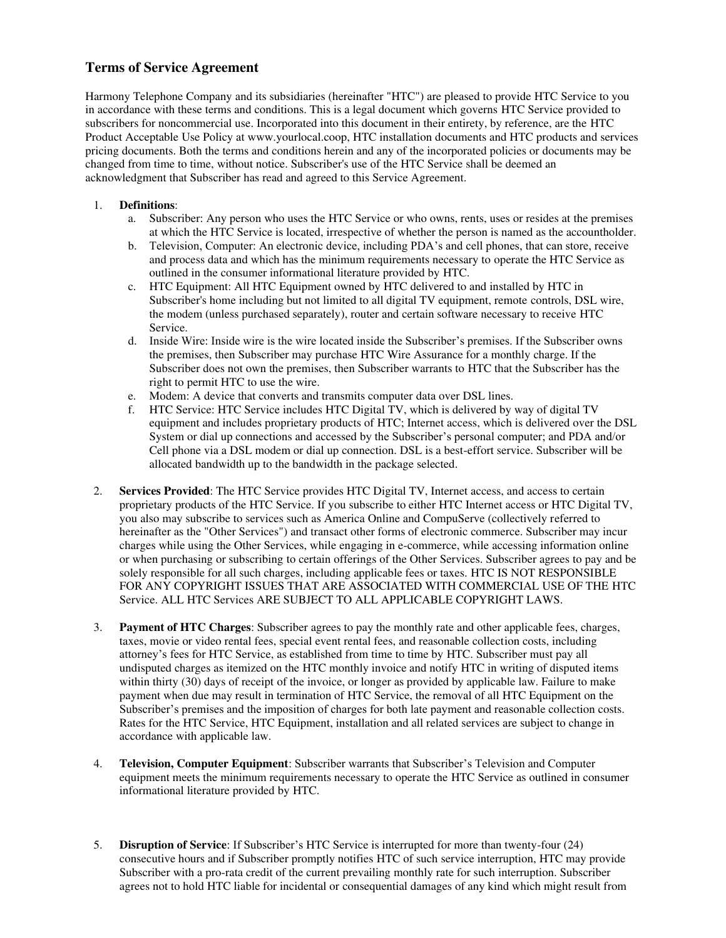## **Terms of Service Agreement**

Harmony Telephone Company and its subsidiaries (hereinafter "HTC") are pleased to provide HTC Service to you in accordance with these terms and conditions. This is a legal document which governs HTC Service provided to subscribers for noncommercial use. Incorporated into this document in their entirety, by reference, are the HTC Product Acceptable Use Policy at www.yourlocal.coop, HTC installation documents and HTC products and services pricing documents. Both the terms and conditions herein and any of the incorporated policies or documents may be changed from time to time, without notice. Subscriber's use of the HTC Service shall be deemed an acknowledgment that Subscriber has read and agreed to this Service Agreement.

## 1. **Definitions**:

- a. Subscriber: Any person who uses the HTC Service or who owns, rents, uses or resides at the premises at which the HTC Service is located, irrespective of whether the person is named as the accountholder.
- b. Television, Computer: An electronic device, including PDA's and cell phones, that can store, receive and process data and which has the minimum requirements necessary to operate the HTC Service as outlined in the consumer informational literature provided by HTC.
- c. HTC Equipment: All HTC Equipment owned by HTC delivered to and installed by HTC in Subscriber's home including but not limited to all digital TV equipment, remote controls, DSL wire, the modem (unless purchased separately), router and certain software necessary to receive HTC Service.
- d. Inside Wire: Inside wire is the wire located inside the Subscriber's premises. If the Subscriber owns the premises, then Subscriber may purchase HTC Wire Assurance for a monthly charge. If the Subscriber does not own the premises, then Subscriber warrants to HTC that the Subscriber has the right to permit HTC to use the wire.
- e. Modem: A device that converts and transmits computer data over DSL lines.
- f. HTC Service: HTC Service includes HTC Digital TV, which is delivered by way of digital TV equipment and includes proprietary products of HTC; Internet access, which is delivered over the DSL System or dial up connections and accessed by the Subscriber's personal computer; and PDA and/or Cell phone via a DSL modem or dial up connection. DSL is a best-effort service. Subscriber will be allocated bandwidth up to the bandwidth in the package selected.
- 2. **Services Provided**: The HTC Service provides HTC Digital TV, Internet access, and access to certain proprietary products of the HTC Service. If you subscribe to either HTC Internet access or HTC Digital TV, you also may subscribe to services such as America Online and CompuServe (collectively referred to hereinafter as the "Other Services") and transact other forms of electronic commerce. Subscriber may incur charges while using the Other Services, while engaging in e-commerce, while accessing information online or when purchasing or subscribing to certain offerings of the Other Services. Subscriber agrees to pay and be solely responsible for all such charges, including applicable fees or taxes. HTC IS NOT RESPONSIBLE FOR ANY COPYRIGHT ISSUES THAT ARE ASSOCIATED WITH COMMERCIAL USE OF THE HTC Service. ALL HTC Services ARE SUBJECT TO ALL APPLICABLE COPYRIGHT LAWS.
- 3. **Payment of HTC Charges**: Subscriber agrees to pay the monthly rate and other applicable fees, charges, taxes, movie or video rental fees, special event rental fees, and reasonable collection costs, including attorney's fees for HTC Service, as established from time to time by HTC. Subscriber must pay all undisputed charges as itemized on the HTC monthly invoice and notify HTC in writing of disputed items within thirty (30) days of receipt of the invoice, or longer as provided by applicable law. Failure to make payment when due may result in termination of HTC Service, the removal of all HTC Equipment on the Subscriber's premises and the imposition of charges for both late payment and reasonable collection costs. Rates for the HTC Service, HTC Equipment, installation and all related services are subject to change in accordance with applicable law.
- 4. **Television, Computer Equipment**: Subscriber warrants that Subscriber's Television and Computer equipment meets the minimum requirements necessary to operate the HTC Service as outlined in consumer informational literature provided by HTC.
- 5. **Disruption of Service**: If Subscriber's HTC Service is interrupted for more than twenty-four (24) consecutive hours and if Subscriber promptly notifies HTC of such service interruption, HTC may provide Subscriber with a pro-rata credit of the current prevailing monthly rate for such interruption. Subscriber agrees not to hold HTC liable for incidental or consequential damages of any kind which might result from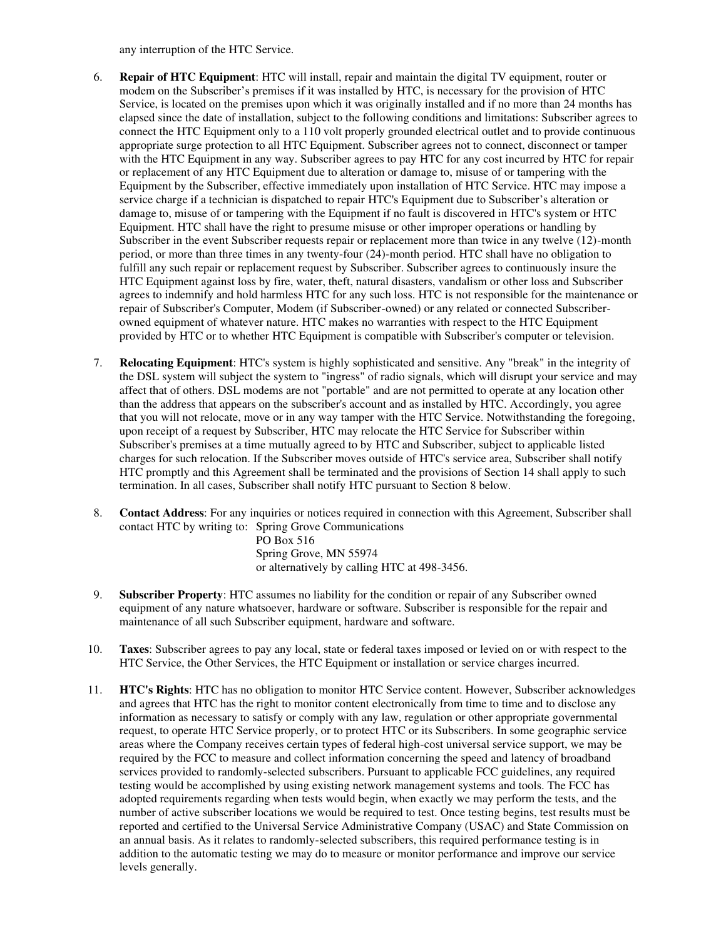any interruption of the HTC Service.

- 6. **Repair of HTC Equipment**: HTC will install, repair and maintain the digital TV equipment, router or modem on the Subscriber's premises if it was installed by HTC, is necessary for the provision of HTC Service, is located on the premises upon which it was originally installed and if no more than 24 months has elapsed since the date of installation, subject to the following conditions and limitations: Subscriber agrees to connect the HTC Equipment only to a 110 volt properly grounded electrical outlet and to provide continuous appropriate surge protection to all HTC Equipment. Subscriber agrees not to connect, disconnect or tamper with the HTC Equipment in any way. Subscriber agrees to pay HTC for any cost incurred by HTC for repair or replacement of any HTC Equipment due to alteration or damage to, misuse of or tampering with the Equipment by the Subscriber, effective immediately upon installation of HTC Service. HTC may impose a service charge if a technician is dispatched to repair HTC's Equipment due to Subscriber's alteration or damage to, misuse of or tampering with the Equipment if no fault is discovered in HTC's system or HTC Equipment. HTC shall have the right to presume misuse or other improper operations or handling by Subscriber in the event Subscriber requests repair or replacement more than twice in any twelve (12)-month period, or more than three times in any twenty-four (24)-month period. HTC shall have no obligation to fulfill any such repair or replacement request by Subscriber. Subscriber agrees to continuously insure the HTC Equipment against loss by fire, water, theft, natural disasters, vandalism or other loss and Subscriber agrees to indemnify and hold harmless HTC for any such loss. HTC is not responsible for the maintenance or repair of Subscriber's Computer, Modem (if Subscriber-owned) or any related or connected Subscriberowned equipment of whatever nature. HTC makes no warranties with respect to the HTC Equipment provided by HTC or to whether HTC Equipment is compatible with Subscriber's computer or television.
- 7. **Relocating Equipment**: HTC's system is highly sophisticated and sensitive. Any "break" in the integrity of the DSL system will subject the system to "ingress" of radio signals, which will disrupt your service and may affect that of others. DSL modems are not "portable" and are not permitted to operate at any location other than the address that appears on the subscriber's account and as installed by HTC. Accordingly, you agree that you will not relocate, move or in any way tamper with the HTC Service. Notwithstanding the foregoing, upon receipt of a request by Subscriber, HTC may relocate the HTC Service for Subscriber within Subscriber's premises at a time mutually agreed to by HTC and Subscriber, subject to applicable listed charges for such relocation. If the Subscriber moves outside of HTC's service area, Subscriber shall notify HTC promptly and this Agreement shall be terminated and the provisions of Section 14 shall apply to such termination. In all cases, Subscriber shall notify HTC pursuant to Section 8 below.
- 8. **Contact Address**: For any inquiries or notices required in connection with this Agreement, Subscriber shall contact HTC by writing to: Spring Grove Communications PO Box 516

Spring Grove, MN 55974 or alternatively by calling HTC at 498-3456.

- 9. **Subscriber Property**: HTC assumes no liability for the condition or repair of any Subscriber owned equipment of any nature whatsoever, hardware or software. Subscriber is responsible for the repair and maintenance of all such Subscriber equipment, hardware and software.
- 10. **Taxes**: Subscriber agrees to pay any local, state or federal taxes imposed or levied on or with respect to the HTC Service, the Other Services, the HTC Equipment or installation or service charges incurred.
- 11. **HTC's Rights**: HTC has no obligation to monitor HTC Service content. However, Subscriber acknowledges and agrees that HTC has the right to monitor content electronically from time to time and to disclose any information as necessary to satisfy or comply with any law, regulation or other appropriate governmental request, to operate HTC Service properly, or to protect HTC or its Subscribers. In some geographic service areas where the Company receives certain types of federal high-cost universal service support, we may be required by the FCC to measure and collect information concerning the speed and latency of broadband services provided to randomly-selected subscribers. Pursuant to applicable FCC guidelines, any required testing would be accomplished by using existing network management systems and tools. The FCC has adopted requirements regarding when tests would begin, when exactly we may perform the tests, and the number of active subscriber locations we would be required to test. Once testing begins, test results must be reported and certified to the Universal Service Administrative Company (USAC) and State Commission on an annual basis. As it relates to randomly-selected subscribers, this required performance testing is in addition to the automatic testing we may do to measure or monitor performance and improve our service levels generally.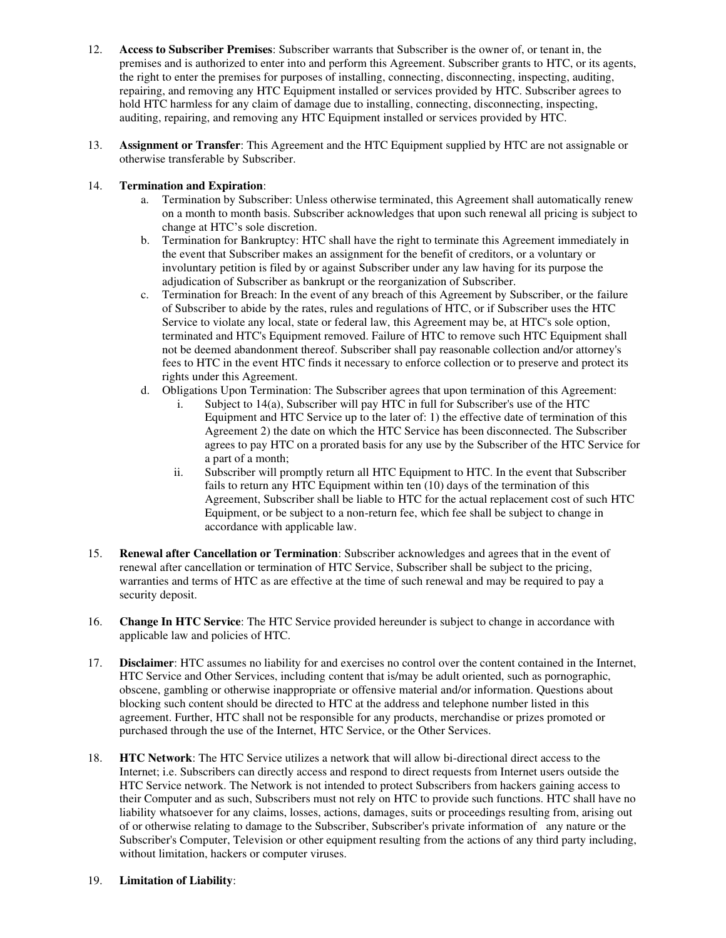- 12. **Access to Subscriber Premises**: Subscriber warrants that Subscriber is the owner of, or tenant in, the premises and is authorized to enter into and perform this Agreement. Subscriber grants to HTC, or its agents, the right to enter the premises for purposes of installing, connecting, disconnecting, inspecting, auditing, repairing, and removing any HTC Equipment installed or services provided by HTC. Subscriber agrees to hold HTC harmless for any claim of damage due to installing, connecting, disconnecting, inspecting, auditing, repairing, and removing any HTC Equipment installed or services provided by HTC.
- 13. **Assignment or Transfer**: This Agreement and the HTC Equipment supplied by HTC are not assignable or otherwise transferable by Subscriber.

## 14. **Termination and Expiration**:

- a. Termination by Subscriber: Unless otherwise terminated, this Agreement shall automatically renew on a month to month basis. Subscriber acknowledges that upon such renewal all pricing is subject to change at HTC's sole discretion.
- b. Termination for Bankruptcy: HTC shall have the right to terminate this Agreement immediately in the event that Subscriber makes an assignment for the benefit of creditors, or a voluntary or involuntary petition is filed by or against Subscriber under any law having for its purpose the adjudication of Subscriber as bankrupt or the reorganization of Subscriber.
- c. Termination for Breach: In the event of any breach of this Agreement by Subscriber, or the failure of Subscriber to abide by the rates, rules and regulations of HTC, or if Subscriber uses the HTC Service to violate any local, state or federal law, this Agreement may be, at HTC's sole option, terminated and HTC's Equipment removed. Failure of HTC to remove such HTC Equipment shall not be deemed abandonment thereof. Subscriber shall pay reasonable collection and/or attorney's fees to HTC in the event HTC finds it necessary to enforce collection or to preserve and protect its rights under this Agreement.
- d. Obligations Upon Termination: The Subscriber agrees that upon termination of this Agreement:
	- i. Subject to 14(a), Subscriber will pay HTC in full for Subscriber's use of the HTC Equipment and HTC Service up to the later of: 1) the effective date of termination of this Agreement 2) the date on which the HTC Service has been disconnected. The Subscriber agrees to pay HTC on a prorated basis for any use by the Subscriber of the HTC Service for a part of a month;
	- ii. Subscriber will promptly return all HTC Equipment to HTC. In the event that Subscriber fails to return any HTC Equipment within ten (10) days of the termination of this Agreement, Subscriber shall be liable to HTC for the actual replacement cost of such HTC Equipment, or be subject to a non-return fee, which fee shall be subject to change in accordance with applicable law.
- 15. **Renewal after Cancellation or Termination**: Subscriber acknowledges and agrees that in the event of renewal after cancellation or termination of HTC Service, Subscriber shall be subject to the pricing, warranties and terms of HTC as are effective at the time of such renewal and may be required to pay a security deposit.
- 16. **Change In HTC Service**: The HTC Service provided hereunder is subject to change in accordance with applicable law and policies of HTC.
- 17. **Disclaimer**: HTC assumes no liability for and exercises no control over the content contained in the Internet, HTC Service and Other Services, including content that is/may be adult oriented, such as pornographic, obscene, gambling or otherwise inappropriate or offensive material and/or information. Questions about blocking such content should be directed to HTC at the address and telephone number listed in this agreement. Further, HTC shall not be responsible for any products, merchandise or prizes promoted or purchased through the use of the Internet, HTC Service, or the Other Services.
- 18. **HTC Network**: The HTC Service utilizes a network that will allow bi-directional direct access to the Internet; i.e. Subscribers can directly access and respond to direct requests from Internet users outside the HTC Service network. The Network is not intended to protect Subscribers from hackers gaining access to their Computer and as such, Subscribers must not rely on HTC to provide such functions. HTC shall have no liability whatsoever for any claims, losses, actions, damages, suits or proceedings resulting from, arising out of or otherwise relating to damage to the Subscriber, Subscriber's private information of any nature or the Subscriber's Computer, Television or other equipment resulting from the actions of any third party including, without limitation, hackers or computer viruses.
- 19. **Limitation of Liability**: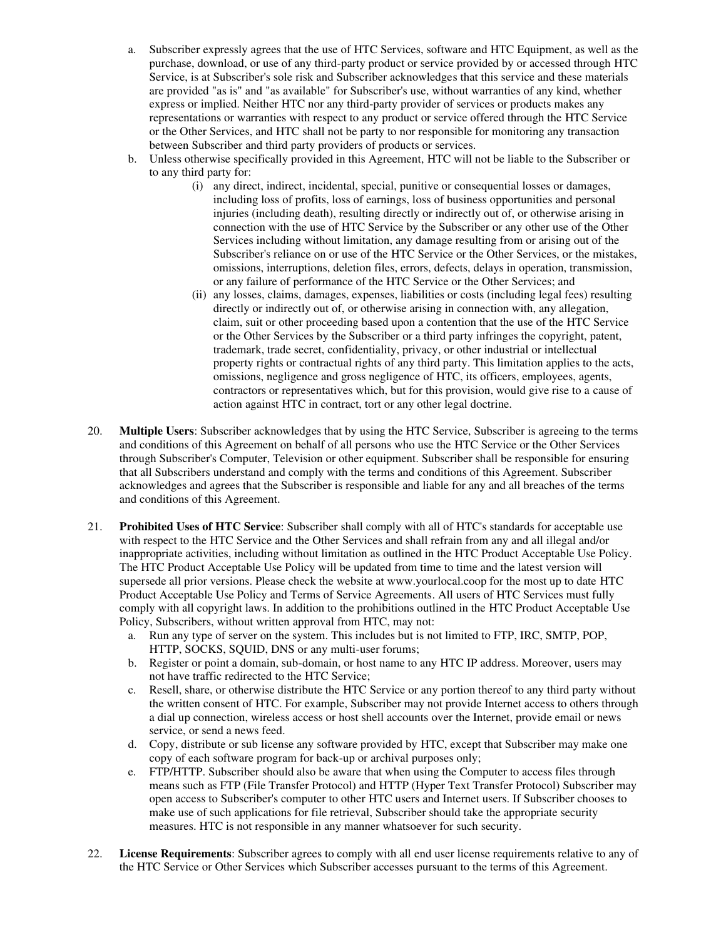- a. Subscriber expressly agrees that the use of HTC Services, software and HTC Equipment, as well as the purchase, download, or use of any third-party product or service provided by or accessed through HTC Service, is at Subscriber's sole risk and Subscriber acknowledges that this service and these materials are provided "as is" and "as available" for Subscriber's use, without warranties of any kind, whether express or implied. Neither HTC nor any third-party provider of services or products makes any representations or warranties with respect to any product or service offered through the HTC Service or the Other Services, and HTC shall not be party to nor responsible for monitoring any transaction between Subscriber and third party providers of products or services.
- b. Unless otherwise specifically provided in this Agreement, HTC will not be liable to the Subscriber or to any third party for:
	- (i) any direct, indirect, incidental, special, punitive or consequential losses or damages, including loss of profits, loss of earnings, loss of business opportunities and personal injuries (including death), resulting directly or indirectly out of, or otherwise arising in connection with the use of HTC Service by the Subscriber or any other use of the Other Services including without limitation, any damage resulting from or arising out of the Subscriber's reliance on or use of the HTC Service or the Other Services, or the mistakes, omissions, interruptions, deletion files, errors, defects, delays in operation, transmission, or any failure of performance of the HTC Service or the Other Services; and
	- (ii) any losses, claims, damages, expenses, liabilities or costs (including legal fees) resulting directly or indirectly out of, or otherwise arising in connection with, any allegation, claim, suit or other proceeding based upon a contention that the use of the HTC Service or the Other Services by the Subscriber or a third party infringes the copyright, patent, trademark, trade secret, confidentiality, privacy, or other industrial or intellectual property rights or contractual rights of any third party. This limitation applies to the acts, omissions, negligence and gross negligence of HTC, its officers, employees, agents, contractors or representatives which, but for this provision, would give rise to a cause of action against HTC in contract, tort or any other legal doctrine.
- 20. **Multiple Users**: Subscriber acknowledges that by using the HTC Service, Subscriber is agreeing to the terms and conditions of this Agreement on behalf of all persons who use the HTC Service or the Other Services through Subscriber's Computer, Television or other equipment. Subscriber shall be responsible for ensuring that all Subscribers understand and comply with the terms and conditions of this Agreement. Subscriber acknowledges and agrees that the Subscriber is responsible and liable for any and all breaches of the terms and conditions of this Agreement.
- 21. **Prohibited Uses of HTC Service**: Subscriber shall comply with all of HTC's standards for acceptable use with respect to the HTC Service and the Other Services and shall refrain from any and all illegal and/or inappropriate activities, including without limitation as outlined in the HTC Product Acceptable Use Policy. The HTC Product Acceptable Use Policy will be updated from time to time and the latest version will supersede all prior versions. Please check the website at www.yourlocal.coop for the most up to date HTC Product Acceptable Use Policy and Terms of Service Agreements. All users of HTC Services must fully comply with all copyright laws. In addition to the prohibitions outlined in the HTC Product Acceptable Use Policy, Subscribers, without written approval from HTC, may not:
	- a. Run any type of server on the system. This includes but is not limited to FTP, IRC, SMTP, POP, HTTP, SOCKS, SQUID, DNS or any multi-user forums;
	- b. Register or point a domain, sub-domain, or host name to any HTC IP address. Moreover, users may not have traffic redirected to the HTC Service;
	- c. Resell, share, or otherwise distribute the HTC Service or any portion thereof to any third party without the written consent of HTC. For example, Subscriber may not provide Internet access to others through a dial up connection, wireless access or host shell accounts over the Internet, provide email or news service, or send a news feed.
	- d. Copy, distribute or sub license any software provided by HTC, except that Subscriber may make one copy of each software program for back-up or archival purposes only;
	- e. FTP/HTTP. Subscriber should also be aware that when using the Computer to access files through means such as FTP (File Transfer Protocol) and HTTP (Hyper Text Transfer Protocol) Subscriber may open access to Subscriber's computer to other HTC users and Internet users. If Subscriber chooses to make use of such applications for file retrieval, Subscriber should take the appropriate security measures. HTC is not responsible in any manner whatsoever for such security.
- 22. **License Requirements**: Subscriber agrees to comply with all end user license requirements relative to any of the HTC Service or Other Services which Subscriber accesses pursuant to the terms of this Agreement.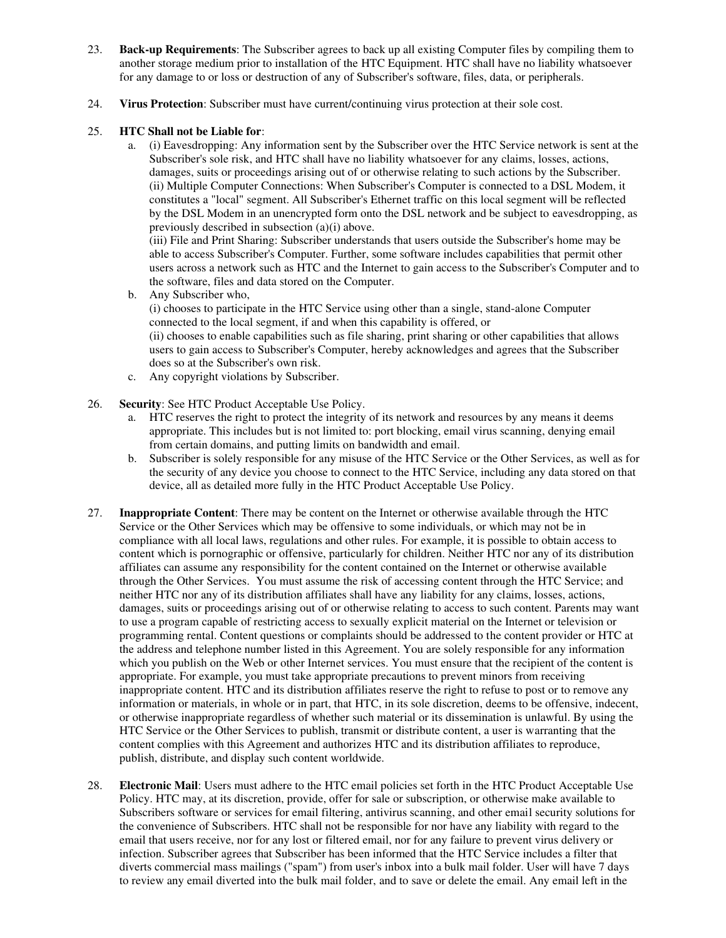- 23. **Back-up Requirements**: The Subscriber agrees to back up all existing Computer files by compiling them to another storage medium prior to installation of the HTC Equipment. HTC shall have no liability whatsoever for any damage to or loss or destruction of any of Subscriber's software, files, data, or peripherals.
- 24. **Virus Protection**: Subscriber must have current/continuing virus protection at their sole cost.

## 25. **HTC Shall not be Liable for**:

a. (i) Eavesdropping: Any information sent by the Subscriber over the HTC Service network is sent at the Subscriber's sole risk, and HTC shall have no liability whatsoever for any claims, losses, actions, damages, suits or proceedings arising out of or otherwise relating to such actions by the Subscriber. (ii) Multiple Computer Connections: When Subscriber's Computer is connected to a DSL Modem, it constitutes a "local" segment. All Subscriber's Ethernet traffic on this local segment will be reflected by the DSL Modem in an unencrypted form onto the DSL network and be subject to eavesdropping, as previously described in subsection (a)(i) above.

(iii) File and Print Sharing: Subscriber understands that users outside the Subscriber's home may be able to access Subscriber's Computer. Further, some software includes capabilities that permit other users across a network such as HTC and the Internet to gain access to the Subscriber's Computer and to the software, files and data stored on the Computer.

b. Any Subscriber who,

(i) chooses to participate in the HTC Service using other than a single, stand-alone Computer connected to the local segment, if and when this capability is offered, or (ii) chooses to enable capabilities such as file sharing, print sharing or other capabilities that allows users to gain access to Subscriber's Computer, hereby acknowledges and agrees that the Subscriber

- does so at the Subscriber's own risk. c. Any copyright violations by Subscriber.
- 26. **Security**: See HTC Product Acceptable Use Policy.
	- a. HTC reserves the right to protect the integrity of its network and resources by any means it deems appropriate. This includes but is not limited to: port blocking, email virus scanning, denying email from certain domains, and putting limits on bandwidth and email.
	- b. Subscriber is solely responsible for any misuse of the HTC Service or the Other Services, as well as for the security of any device you choose to connect to the HTC Service, including any data stored on that device, all as detailed more fully in the HTC Product Acceptable Use Policy.
- 27. **Inappropriate Content**: There may be content on the Internet or otherwise available through the HTC Service or the Other Services which may be offensive to some individuals, or which may not be in compliance with all local laws, regulations and other rules. For example, it is possible to obtain access to content which is pornographic or offensive, particularly for children. Neither HTC nor any of its distribution affiliates can assume any responsibility for the content contained on the Internet or otherwise available through the Other Services. You must assume the risk of accessing content through the HTC Service; and neither HTC nor any of its distribution affiliates shall have any liability for any claims, losses, actions, damages, suits or proceedings arising out of or otherwise relating to access to such content. Parents may want to use a program capable of restricting access to sexually explicit material on the Internet or television or programming rental. Content questions or complaints should be addressed to the content provider or HTC at the address and telephone number listed in this Agreement. You are solely responsible for any information which you publish on the Web or other Internet services. You must ensure that the recipient of the content is appropriate. For example, you must take appropriate precautions to prevent minors from receiving inappropriate content. HTC and its distribution affiliates reserve the right to refuse to post or to remove any information or materials, in whole or in part, that HTC, in its sole discretion, deems to be offensive, indecent, or otherwise inappropriate regardless of whether such material or its dissemination is unlawful. By using the HTC Service or the Other Services to publish, transmit or distribute content, a user is warranting that the content complies with this Agreement and authorizes HTC and its distribution affiliates to reproduce, publish, distribute, and display such content worldwide.
- 28. **Electronic Mail**: Users must adhere to the HTC email policies set forth in the HTC Product Acceptable Use Policy. HTC may, at its discretion, provide, offer for sale or subscription, or otherwise make available to Subscribers software or services for email filtering, antivirus scanning, and other email security solutions for the convenience of Subscribers. HTC shall not be responsible for nor have any liability with regard to the email that users receive, nor for any lost or filtered email, nor for any failure to prevent virus delivery or infection. Subscriber agrees that Subscriber has been informed that the HTC Service includes a filter that diverts commercial mass mailings ("spam") from user's inbox into a bulk mail folder. User will have 7 days to review any email diverted into the bulk mail folder, and to save or delete the email. Any email left in the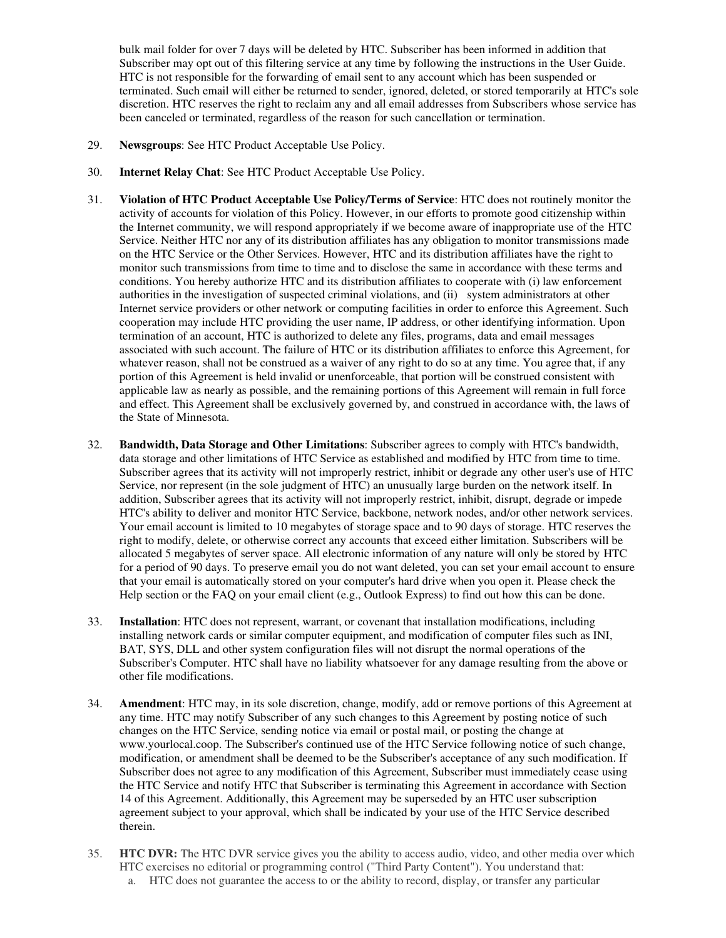bulk mail folder for over 7 days will be deleted by HTC. Subscriber has been informed in addition that Subscriber may opt out of this filtering service at any time by following the instructions in the User Guide. HTC is not responsible for the forwarding of email sent to any account which has been suspended or terminated. Such email will either be returned to sender, ignored, deleted, or stored temporarily at HTC's sole discretion. HTC reserves the right to reclaim any and all email addresses from Subscribers whose service has been canceled or terminated, regardless of the reason for such cancellation or termination.

- 29. **Newsgroups**: See HTC Product Acceptable Use Policy.
- 30. **Internet Relay Chat**: See HTC Product Acceptable Use Policy.
- 31. **Violation of HTC Product Acceptable Use Policy/Terms of Service**: HTC does not routinely monitor the activity of accounts for violation of this Policy. However, in our efforts to promote good citizenship within the Internet community, we will respond appropriately if we become aware of inappropriate use of the HTC Service. Neither HTC nor any of its distribution affiliates has any obligation to monitor transmissions made on the HTC Service or the Other Services. However, HTC and its distribution affiliates have the right to monitor such transmissions from time to time and to disclose the same in accordance with these terms and conditions. You hereby authorize HTC and its distribution affiliates to cooperate with (i) law enforcement authorities in the investigation of suspected criminal violations, and (ii) system administrators at other Internet service providers or other network or computing facilities in order to enforce this Agreement. Such cooperation may include HTC providing the user name, IP address, or other identifying information. Upon termination of an account, HTC is authorized to delete any files, programs, data and email messages associated with such account. The failure of HTC or its distribution affiliates to enforce this Agreement, for whatever reason, shall not be construed as a waiver of any right to do so at any time. You agree that, if any portion of this Agreement is held invalid or unenforceable, that portion will be construed consistent with applicable law as nearly as possible, and the remaining portions of this Agreement will remain in full force and effect. This Agreement shall be exclusively governed by, and construed in accordance with, the laws of the State of Minnesota.
- 32. **Bandwidth, Data Storage and Other Limitations**: Subscriber agrees to comply with HTC's bandwidth, data storage and other limitations of HTC Service as established and modified by HTC from time to time. Subscriber agrees that its activity will not improperly restrict, inhibit or degrade any other user's use of HTC Service, nor represent (in the sole judgment of HTC) an unusually large burden on the network itself. In addition, Subscriber agrees that its activity will not improperly restrict, inhibit, disrupt, degrade or impede HTC's ability to deliver and monitor HTC Service, backbone, network nodes, and/or other network services. Your email account is limited to 10 megabytes of storage space and to 90 days of storage. HTC reserves the right to modify, delete, or otherwise correct any accounts that exceed either limitation. Subscribers will be allocated 5 megabytes of server space. All electronic information of any nature will only be stored by HTC for a period of 90 days. To preserve email you do not want deleted, you can set your email account to ensure that your email is automatically stored on your computer's hard drive when you open it. Please check the Help section or the FAQ on your email client (e.g., Outlook Express) to find out how this can be done.
- 33. **Installation**: HTC does not represent, warrant, or covenant that installation modifications, including installing network cards or similar computer equipment, and modification of computer files such as INI, BAT, SYS, DLL and other system configuration files will not disrupt the normal operations of the Subscriber's Computer. HTC shall have no liability whatsoever for any damage resulting from the above or other file modifications.
- 34. **Amendment**: HTC may, in its sole discretion, change, modify, add or remove portions of this Agreement at any time. HTC may notify Subscriber of any such changes to this Agreement by posting notice of such changes on the HTC Service, sending notice via email or postal mail, or posting the change at www.yourlocal.coop. The Subscriber's continued use of the HTC Service following notice of such change, modification, or amendment shall be deemed to be the Subscriber's acceptance of any such modification. If Subscriber does not agree to any modification of this Agreement, Subscriber must immediately cease using the HTC Service and notify HTC that Subscriber is terminating this Agreement in accordance with Section 14 of this Agreement. Additionally, this Agreement may be superseded by an HTC user subscription agreement subject to your approval, which shall be indicated by your use of the HTC Service described therein.
- 35. **HTC DVR:** The HTC DVR service gives you the ability to access audio, video, and other media over which HTC exercises no editorial or programming control ("Third Party Content"). You understand that:
	- a. HTC does not guarantee the access to or the ability to record, display, or transfer any particular